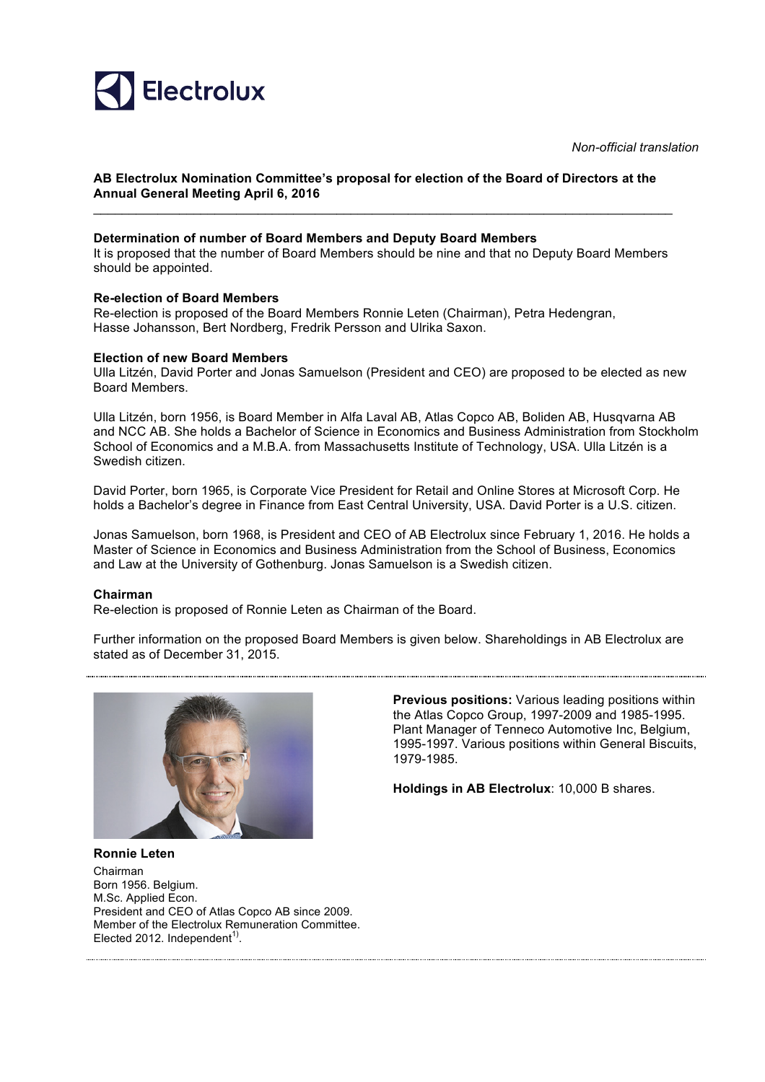

*Non-official translation*

# **AB Electrolux Nomination Committee's proposal for election of the Board of Directors at the Annual General Meeting April 6, 2016**

# **Determination of number of Board Members and Deputy Board Members**

It is proposed that the number of Board Members should be nine and that no Deputy Board Members should be appointed.

\_\_\_\_\_\_\_\_\_\_\_\_\_\_\_\_\_\_\_\_\_\_\_\_\_\_\_\_\_\_\_\_\_\_\_\_\_\_\_\_\_\_\_\_\_\_\_\_\_\_\_\_\_\_\_\_\_\_\_\_\_\_\_\_\_\_\_\_\_\_\_\_\_\_\_\_\_\_\_\_\_

# **Re-election of Board Members**

Re-election is proposed of the Board Members Ronnie Leten (Chairman), Petra Hedengran, Hasse Johansson, Bert Nordberg, Fredrik Persson and Ulrika Saxon.

#### **Election of new Board Members**

Ulla Litzén, David Porter and Jonas Samuelson (President and CEO) are proposed to be elected as new Board Members.

Ulla Litzén, born 1956, is Board Member in Alfa Laval AB, Atlas Copco AB, Boliden AB, Husqvarna AB and NCC AB. She holds a Bachelor of Science in Economics and Business Administration from Stockholm School of Economics and a M.B.A. from Massachusetts Institute of Technology, USA. Ulla Litzén is a Swedish citizen.

David Porter, born 1965, is Corporate Vice President for Retail and Online Stores at Microsoft Corp. He holds a Bachelor's degree in Finance from East Central University, USA. David Porter is a U.S. citizen.

Jonas Samuelson, born 1968, is President and CEO of AB Electrolux since February 1, 2016. He holds a Master of Science in Economics and Business Administration from the School of Business, Economics and Law at the University of Gothenburg. Jonas Samuelson is a Swedish citizen.

# **Chairman**

Re-election is proposed of Ronnie Leten as Chairman of the Board.

Further information on the proposed Board Members is given below. Shareholdings in AB Electrolux are stated as of December 31, 2015.



**Previous positions:** Various leading positions within the Atlas Copco Group, 1997-2009 and 1985-1995. Plant Manager of Tenneco Automotive Inc, Belgium, 1995-1997. Various positions within General Biscuits, 1979-1985.

**Holdings in AB Electrolux**: 10,000 B shares.

**Ronnie Leten** Chairman Born 1956. Belgium. M.Sc. Applied Econ. President and CEO of Atlas Copco AB since 2009. Member of the Electrolux Remuneration Committee. Elected 2012. Independent<sup>1)</sup>.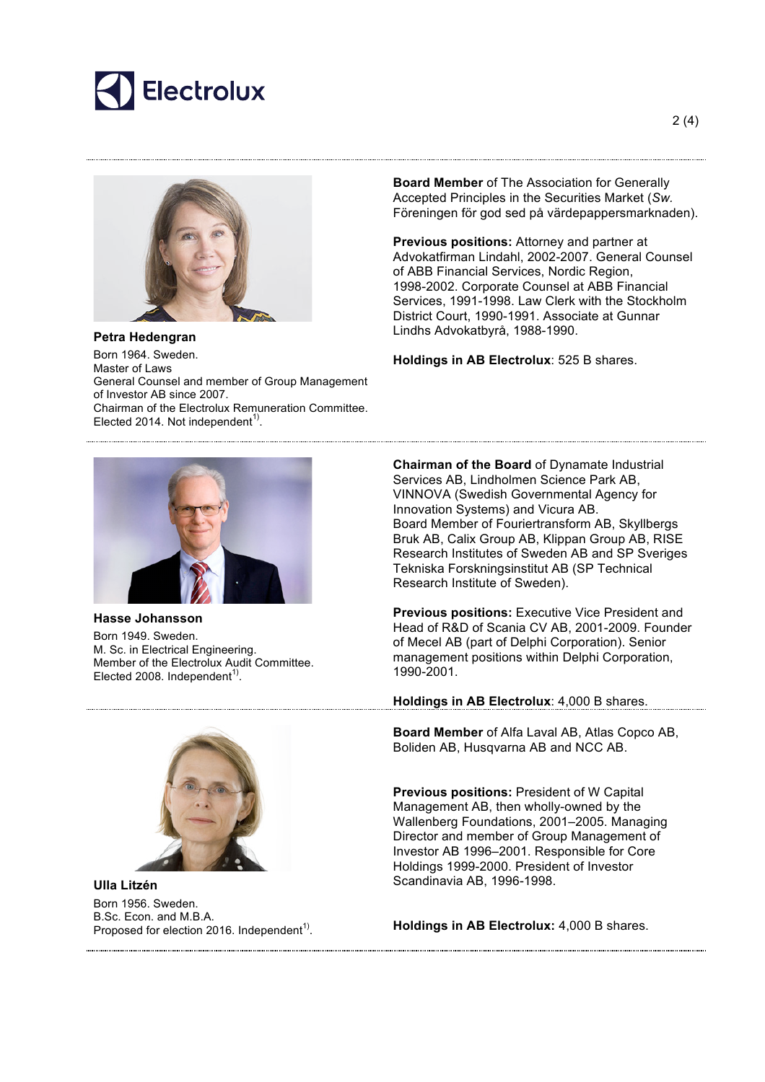



**Petra Hedengran** Born 1964. Sweden. Master of Laws General Counsel and member of Group Management of Investor AB since 2007. Chairman of the Electrolux Remuneration Committee. Elected 2014. Not independent<sup>1)</sup>.

**Board Member** of The Association for Generally Accepted Principles in the Securities Market (*Sw.* Föreningen för god sed på värdepappersmarknaden).

**Previous positions:** Attorney and partner at Advokatfirman Lindahl, 2002-2007. General Counsel of ABB Financial Services, Nordic Region, 1998-2002. Corporate Counsel at ABB Financial Services, 1991-1998. Law Clerk with the Stockholm District Court, 1990-1991. Associate at Gunnar Lindhs Advokatbyrå, 1988-1990.

**Holdings in AB Electrolux**: 525 B shares.



**Hasse Johansson**

Born 1949. Sweden. M. Sc. in Electrical Engineering. Member of the Electrolux Audit Committee. Elected 2008. Independent $1$ <sup>1</sup>.



**Ulla Litzén** Born 1956. Sweden. B.Sc. Econ. and M.B.A. Proposed for election 2016. Independent<sup>1)</sup>. **Chairman of the Board** of Dynamate Industrial Services AB, Lindholmen Science Park AB, VINNOVA (Swedish Governmental Agency for Innovation Systems) and Vicura AB. Board Member of Fouriertransform AB, Skyllbergs Bruk AB, Calix Group AB, Klippan Group AB, RISE Research Institutes of Sweden AB and SP Sveriges Tekniska Forskningsinstitut AB (SP Technical Research Institute of Sweden).

**Previous positions:** Executive Vice President and Head of R&D of Scania CV AB, 2001-2009. Founder of Mecel AB (part of Delphi Corporation). Senior management positions within Delphi Corporation, 1990-2001.

**Holdings in AB Electrolux**: 4,000 B shares.

**Board Member** of Alfa Laval AB, Atlas Copco AB, Boliden AB, Husqvarna AB and NCC AB.

**Previous positions:** President of W Capital Management AB, then wholly-owned by the Wallenberg Foundations, 2001–2005. Managing Director and member of Group Management of Investor AB 1996–2001. Responsible for Core Holdings 1999-2000. President of Investor Scandinavia AB, 1996-1998.

**Holdings in AB Electrolux:** 4,000 B shares.

2 (4)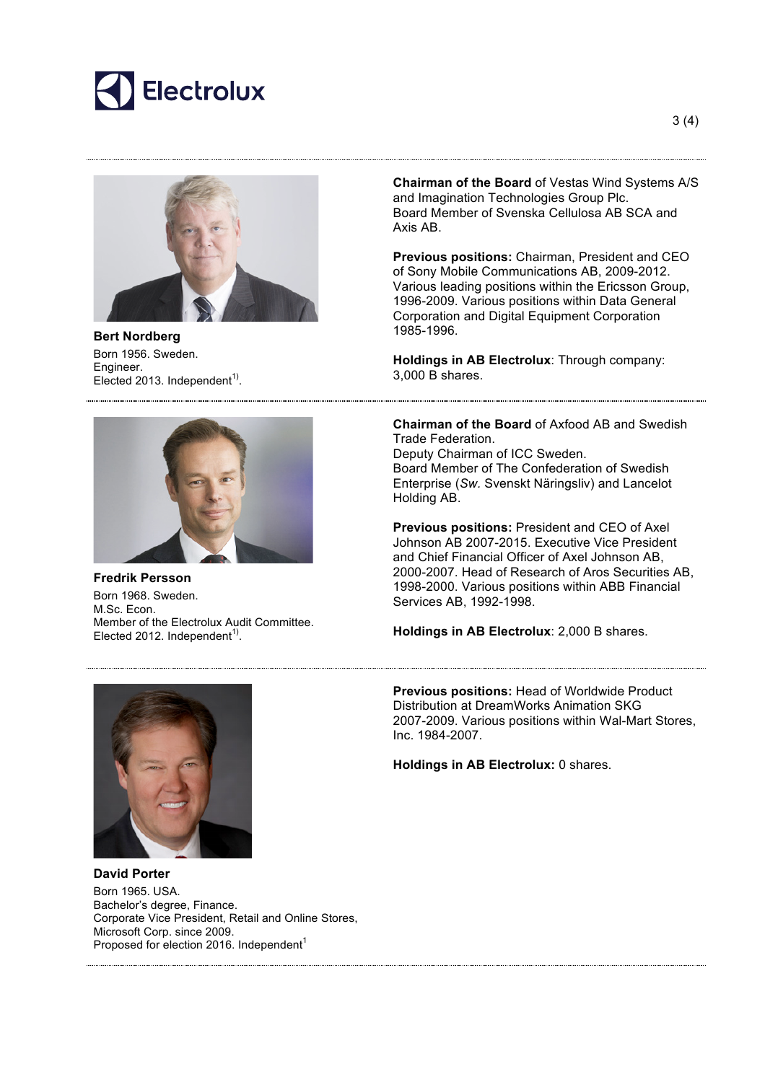



**Bert Nordberg** Born 1956. Sweden. Engineer. Elected 2013. Independent<sup>1)</sup>.



**Fredrik Persson** Born 1968. Sweden. M.Sc. Econ. Member of the Electrolux Audit Committee. Elected 2012. Independent $1$ <sup>1</sup>.

**Chairman of the Board** of Vestas Wind Systems A/S and Imagination Technologies Group Plc. Board Member of Svenska Cellulosa AB SCA and Axis AB.

**Previous positions:** Chairman, President and CEO of Sony Mobile Communications AB, 2009-2012. Various leading positions within the Ericsson Group, 1996-2009. Various positions within Data General Corporation and Digital Equipment Corporation 1985-1996.

**Holdings in AB Electrolux**: Through company: 3,000 B shares.

**Chairman of the Board** of Axfood AB and Swedish Trade Federation. Deputy Chairman of ICC Sweden. Board Member of The Confederation of Swedish Enterprise (*Sw.* Svenskt Näringsliv) and Lancelot Holding AB.

**Previous positions:** President and CEO of Axel Johnson AB 2007-2015. Executive Vice President and Chief Financial Officer of Axel Johnson AB, 2000-2007. Head of Research of Aros Securities AB, 1998-2000. Various positions within ABB Financial Services AB, 1992-1998.

**Holdings in AB Electrolux**: 2,000 B shares.

**Previous positions:** Head of Worldwide Product Distribution at DreamWorks Animation SKG 2007-2009. Various positions within Wal-Mart Stores, Inc. 1984-2007.

**Holdings in AB Electrolux:** 0 shares.



**David Porter** Born 1965. USA. Bachelor's degree, Finance. Corporate Vice President, Retail and Online Stores, Microsoft Corp. since 2009. Proposed for election 2016. Independent<sup>1</sup>